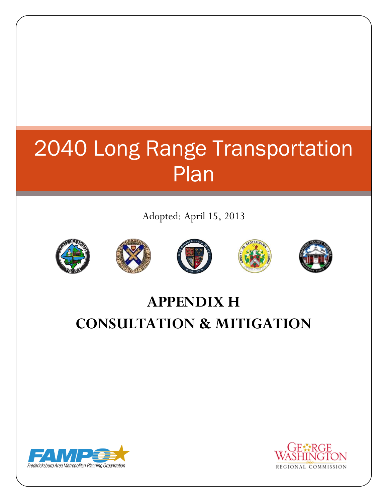## 2040 Long Range Transportation Plan

Adopted: April 15, 2013











## **APPENDIX H CONSULTATION & MITIGATION**



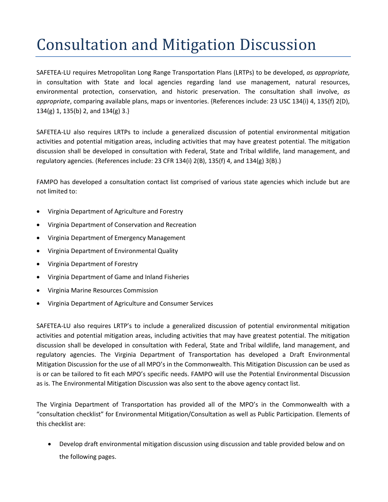## Consultation and Mitigation Discussion

SAFETEA-LU requires Metropolitan Long Range Transportation Plans (LRTPs) to be developed, *as appropriate,*  in consultation with State and local agencies regarding land use management, natural resources, environmental protection, conservation, and historic preservation. The consultation shall involve, *as appropriate*, comparing available plans, maps or inventories. {References include: 23 USC 134(i) 4, 135(f) 2(D), 134(g) 1, 135(b) 2, and 134(g) 3.}

SAFETEA-LU also requires LRTPs to include a generalized discussion of potential environmental mitigation activities and potential mitigation areas, including activities that may have greatest potential. The mitigation discussion shall be developed in consultation with Federal, State and Tribal wildlife, land management, and regulatory agencies. (References include: 23 CFR 134(i) 2(B), 135(f) 4, and 134(g) 3(B).)

FAMPO has developed a consultation contact list comprised of various state agencies which include but are not limited to:

- Virginia Department of Agriculture and Forestry
- Virginia Department of Conservation and Recreation
- Virginia Department of Emergency Management
- Virginia Department of Environmental Quality
- Virginia Department of Forestry
- Virginia Department of Game and Inland Fisheries
- Virginia Marine Resources Commission
- Virginia Department of Agriculture and Consumer Services

SAFETEA-LU also requires LRTP's to include a generalized discussion of potential environmental mitigation activities and potential mitigation areas, including activities that may have greatest potential. The mitigation discussion shall be developed in consultation with Federal, State and Tribal wildlife, land management, and regulatory agencies. The Virginia Department of Transportation has developed a Draft Environmental Mitigation Discussion for the use of all MPO's in the Commonwealth. This Mitigation Discussion can be used as is or can be tailored to fit each MPO's specific needs. FAMPO will use the Potential Environmental Discussion as is. The Environmental Mitigation Discussion was also sent to the above agency contact list.

The Virginia Department of Transportation has provided all of the MPO's in the Commonwealth with a "consultation checklist" for Environmental Mitigation/Consultation as well as Public Participation. Elements of this checklist are:

 Develop draft environmental mitigation discussion using discussion and table provided below and on the following pages.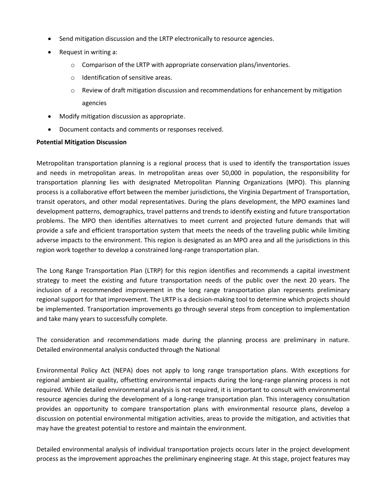- Send mitigation discussion and the LRTP electronically to resource agencies.
- Request in writing a:
	- $\circ$  Comparison of the LRTP with appropriate conservation plans/inventories.
	- o Identification of sensitive areas.
	- o Review of draft mitigation discussion and recommendations for enhancement by mitigation agencies
- Modify mitigation discussion as appropriate.
- Document contacts and comments or responses received.

## **Potential Mitigation Discussion**

Metropolitan transportation planning is a regional process that is used to identify the transportation issues and needs in metropolitan areas. In metropolitan areas over 50,000 in population, the responsibility for transportation planning lies with designated Metropolitan Planning Organizations (MPO). This planning process is a collaborative effort between the member jurisdictions, the Virginia Department of Transportation, transit operators, and other modal representatives. During the plans development, the MPO examines land development patterns, demographics, travel patterns and trends to identify existing and future transportation problems. The MPO then identifies alternatives to meet current and projected future demands that will provide a safe and efficient transportation system that meets the needs of the traveling public while limiting adverse impacts to the environment. This region is designated as an MPO area and all the jurisdictions in this region work together to develop a constrained long-range transportation plan.

The Long Range Transportation Plan (LTRP) for this region identifies and recommends a capital investment strategy to meet the existing and future transportation needs of the public over the next 20 years. The inclusion of a recommended improvement in the long range transportation plan represents preliminary regional support for that improvement. The LRTP is a decision-making tool to determine which projects should be implemented. Transportation improvements go through several steps from conception to implementation and take many years to successfully complete.

The consideration and recommendations made during the planning process are preliminary in nature. Detailed environmental analysis conducted through the National

Environmental Policy Act (NEPA) does not apply to long range transportation plans. With exceptions for regional ambient air quality, offsetting environmental impacts during the long-range planning process is not required. While detailed environmental analysis is not required, it is important to consult with environmental resource agencies during the development of a long-range transportation plan. This interagency consultation provides an opportunity to compare transportation plans with environmental resource plans, develop a discussion on potential environmental mitigation activities, areas to provide the mitigation, and activities that may have the greatest potential to restore and maintain the environment.

Detailed environmental analysis of individual transportation projects occurs later in the project development process as the improvement approaches the preliminary engineering stage. At this stage, project features may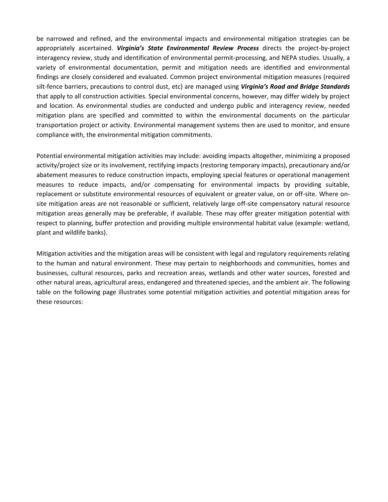be narrowed and refined, and the environmental impacts and environmental mitigation strategies can be appropriately ascertained. *Virginia's State Environmental Review Process* directs the project-by-project interagency review, study and identification of environmental permit-processing, and NEPA studies. Usually, a variety of environmental documentation, permit and mitigation needs are identified and environmental findings are closely considered and evaluated. Common project environmental mitigation measures (required silt-fence barriers, precautions to control dust, etc) are managed using *Virginia's Road and Bridge Standards* that apply to all construction activities. Special environmental concerns, however, may differ widely by project and location. As environmental studies are conducted and undergo public and interagency review, needed mitigation plans are specified and committed to within the environmental documents on the particular transportation project or activity. Environmental management systems then are used to monitor, and ensure compliance with, the environmental mitigation commitments.

Potential environmental mitigation activities may include: avoiding impacts altogether, minimizing a proposed activity/project size or its involvement, rectifying impacts (restoring temporary impacts), precautionary and/or abatement measures to reduce construction impacts, employing special features or operational management measures to reduce impacts, and/or compensating for environmental impacts by providing suitable, replacement or substitute environmental resources of equivalent or greater value, on or off-site. Where onsite mitigation areas are not reasonable or sufficient, relatively large off-site compensatory natural resource mitigation areas generally may be preferable, if available. These may offer greater mitigation potential with respect to planning, buffer protection and providing multiple environmental habitat value (example: wetland, plant and wildlife banks).

Mitigation activities and the mitigation areas will be consistent with legal and regulatory requirements relating to the human and natural environment. These may pertain to neighborhoods and communities, homes and businesses, cultural resources, parks and recreation areas, wetlands and other water sources, forested and other natural areas, agricultural areas, endangered and threatened species, and the ambient air. The following table on the following page illustrates some potential mitigation activities and potential mitigation areas for these resources: